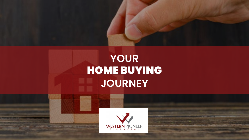

# **YOUR** HOME BUYING **JOURNEY**

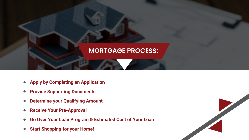

- **Apply by Completing an Application**  $\bullet$
- **Provide Supporting Documents**  $\bullet$
- **Determine your Qualifying Amount**  $\bullet$
- **Receive Your Pre-Approval**  $\bullet$
- **Go Over Your Loan Program & Estimated Cost of Your Loan**  $\bullet$
- **Start Shopping for your Home!** $\bullet$

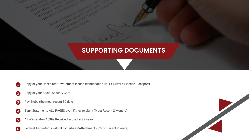# **SUPPORTING DOCUMENTS**

- 1 Copy of your Unexpired Government Issued Identification (ie. ID, Driver's License, Passport)
- 2 Copy of your Social Security Card
- 3 Pay Stubs (the most recent 30 days)
- 4 Bank Statements ALL PAGES even if they're blank (Most Recent 2 Months)
- 5 All W2s and/or 1099s Received in the Last 2 years
- 6 Federal Tax Returns with all Schedules/Attachments (Most Recent 2 Years)

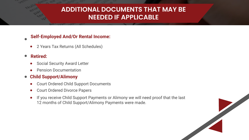## **ADDITIONAL DOCUMENTS THAT MAY BE NEEDED IF APPLICABLE**

### **Self-Employed And/Or Rental Income:**

2 Years Tax Returns (All Schedules)

#### **Retired:**  $\bullet$

 $\bullet$ 

- Social Security Award Letter
- Pension Documentation

### **Child Support/Alimony**

- Court Ordered Child Support Documents
- Court Ordered Divorce Papers
- If you receive Child Support Payments or Alimony we will need proof that the last 12 months of Child Support/Alimony Payments were made.

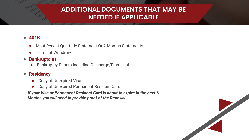# **ADDITIONAL DOCUMENTS THAT MAY BE NEEDED IF APPLICABLE**

### **401K:**

- Most Recent Quarterly Statement Or 2 Months Statements  $\bullet$
- Terms of Withdraw

#### **Bankruptcies**  $\bullet$

● Bankruptcy Papers including Discharge/Dismissal

#### **Residency**  $\bullet$

- **Copy of Unexpired Visa**
- Copy of Unexpired Permanent Resident Card

*If your Visa or Permanent Resident Card is about to expire in the next 6 Months you will need to provide proof of the Renewal.*

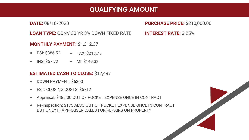### **QUALIFYING AMOUNT**

**DATE:** 08/18/2020

**PURCHASE PRICE:** \$210,000.00

**INTEREST RATE:** 3.25%

**LOAN TYPE:** CONV 30 YR 3% DOWN FIXED RATE

**MONTHLY PAYMENT:** \$1,312.37

- P&I: \$886.52 • TAX: \$218.75
- $\bullet$  INS: \$57.72 • MI: \$149.38

### **ESTIMATED CASH TO CLOSE:** \$12,497

- DOWN PAYMENT: \$6300
- EST. CLOSING COSTS: \$5712
- Appraisal: \$485.00 OUT OF POCKET EXPENSE ONCE IN CONTRACT
- Re-inspection: \$175 ALSO OUT OF POCKET EXPENSE ONCE IN CONTRACT BUT ONLY IF APPRAISER CALLS FOR REPAIRS ON PROPERTY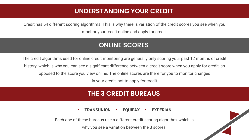### **UNDERSTANDING YOUR CREDIT**

Credit has 54 different scoring algorithms. This is why there is variation of the credit scores you see when you monitor your credit online and apply for credit.

### **ONLINE SCORES**

The credit algorithms used for online credit monitoring are generally only scoring your past 12 months of credit history, which is why you can see a significant difference between a credit score when you apply for credit, as opposed to the score you view online. The online scores are there for you to monitor changes in your credit, not to apply for credit.

### **THE 3 CREDIT BUREAUS**

**• TRANSUNION • EQUIFAX • EXPERIAN**

Each one of these bureaus use a different credit scoring algorithm, which is why you see a variation between the 3 scores.

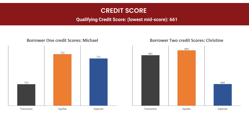### **CREDIT SCORE**

### **Qualifying Credit Score: (lowest mid-score): 661**

#### **Borrower One credit Scores: Michael**



#### **Borrower Two credit Scores: Christine**

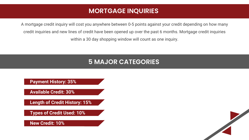### **MORTGAGE INQUIRIES**

A mortgage credit inquiry will cost you anywhere between 0-5 points against your credit depending on how many credit inquiries and new lines of credit have been opened up over the past 6 months. Mortgage credit inquiries within a 30 day shopping window will count as one inquiry.

### **5 MAJOR CATEGORIES**

**Payment History: 35%**

**Available Credit: 30%**

**Length of Credit History: 15%**

**Types of Credit Used: 10%**

**New Credit: 10%**

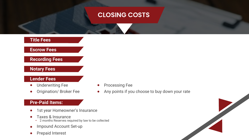### **CLOSING COSTS**



- Impound Account Set-up
- Prepaid Interest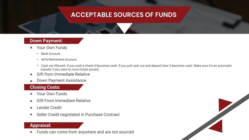# **ACCEPTABLE SOURCES OF FUNDS**

### **Down Payment:**

- Your Own Funds  $\bullet$ 
	- **•** Bank Account
	- **•** 401k/Retirement Account
	- **•** Cash not Allowed. If you cash a check it becomes cash. If you pull cash out and deposit later it becomes cash. Make sure it's an automatic transfer if you want to move funds around.
- Gift from Immediate Relative
- Down Payment Assistance

### **Closing Costs:**

- Your Own Funds
- Gift From Immediate Relative
- Lender Credit  $\bullet$
- Seller Credit negotiated in Purchase Contract  $\bullet$

### **Appraisal:**

Funds can come from anywhere and are not sourced

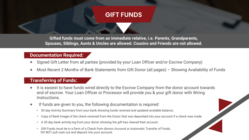### **GIFT FUNDS**

**Gifted funds must come from an immediate relative, i.e. Parents, Grandparents, Spouses, Siblings, Aunts & Uncles are allowed. Cousins and Friends are not allowed.**

### **Documentation Required:**

- Signed Gift Letter from all parties (provided by your Loan Officer and/or Escrow Company)
- Most Recent 2 Months of Bank Statements from Gift Donor (all pages) Showing Availability of Funds

#### **Transferring of Funds:**

- It is easiest to have funds wired directly to the Escrow Company from the donor account towards end of escrow. Your Loan Officer or Processor will provide you & your gift donor with Wiring Instructions.
- If funds are given to you, the following documentation is required:
	- **•** 30 day Activity Summary from your bank showing funds received and updated available balance.
	- **•** Copy of Bank Image of the check received from the Donor that was deposited into your account if a check was made.
	- **•** A 30 day bank activity log from your donor showing the gift has cleared their account.
	- **•** Gift Funds must be in a form of a Check from donors Account or Automatic Transfer of Funds. DO NOT pull cash out and deposit into your account.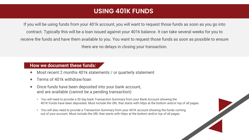### **USING 401K FUNDS**

If you will be using funds from your 401k account, you will want to request those funds as soon as you go into contract. Typically this will be a loan issued against your 401k balance. It can take several weeks for you to receive the funds and have them available to you. You want to request those funds as soon as possible to ensure there are no delays in closing your transaction.

### **How we document these funds:**

- Most recent 2 months 401k statements / or quarterly statement
- Terms of 401k withdraw/loan
- Once funds have been deposited into your bank account, and are available (cannot be a pending transaction)
	- **•** You will need to provide a 30 day bank Transaction Summary from your Bank Account showing the 401K Funds have been deposited. Must include the URL that starts with https at the bottom and/or top of all pages.
	- **•** You will also need to provide a Transaction Summary from your 401K account showing the funds coming out of your account. Must include the URL that starts with https at the bottom and/or top of all pages.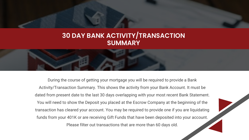### **30 DAY BANK ACTIVITY/TRANSACTION SUMMARY**

During the course of getting your mortgage you will be required to provide a Bank Activity/Transaction Summary. This shows the activity from your Bank Account. It must be dated from present date to the last 30 days overlapping with your most recent Bank Statement. You will need to show the Deposit you placed at the Escrow Company at the beginning of the transaction has cleared your account. You may be required to provide one if you are liquidating funds from your 401K or are receiving Gift Funds that have been deposited into your account. Please filter out transactions that are more than 60 days old.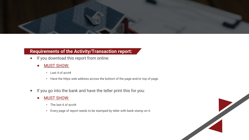

### **Requirements of the Activity/Transaction report:**

- If you download this report from online:  $\bullet$ 
	- MUST SHOW:  $\bullet$ 
		- **•** Last 4 of acct#
		- **•** Have the https web address across the bottom of the page and/or top of page.
- If you go into the bank and have the teller print this for you:  $\bullet$ 
	- MUST SHOW:  $\bullet$ 
		- **•** The last 4 of acct#
		- **•** Every page of report needs to be stamped by teller with bank stamp on it.

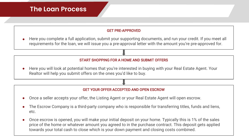#### GET PRE-APPROVED

Here you complete a full application, submit your supporting documents, and run your credit. If you meet all requirements for the loan, we will issue you a pre-approval letter with the amount you're pre-approved for.

#### START SHOPPING FOR A HOME AND SUBMIT OFFERS

Here you will look at potential homes that you're interested in buying with your Real Estate Agent. Your Realtor will help you submit offers on the ones you'd like to buy.

#### GET YOUR OFFER ACCEPTED AND OPEN ESCROW

- Once a seller accepts your offer, the Listing Agent or your Real Estate Agent will open escrow.
- The Escrow Company is a third-party company who is responsible for transferring titles, funds and liens, etc.
- Once escrow is opened, you will make your initial deposit on your home. Typically this is 1% of the sales price of the home or whatever amount you agreed to in the purchase contract. This deposit gets applied towards your total cash to close which is your down payment and closing costs combined.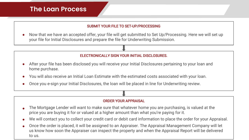#### SUBMIT YOUR FILE TO SET-UP/PROCESSING

Now that we have an accepted offer, your file will get submitted to Set Up/Processing. Here we will set up your file for Initial Disclosures and prepare the file for Underwriting Submission.

#### ELECTRONICALLY SIGN YOUR INITIAL DISCLOSURES.

- After your file has been disclosed you will receive your Initial Disclosures pertaining to your loan and home purchase.
- You will also receive an Initial Loan Estimate with the estimated costs associated with your loan.
- Once you e-sign your Initial Disclosures, the loan will be placed in line for Underwriting review.

#### ORDER YOUR APPRAISAL

- The Mortgage Lender will want to make sure that whatever home you are purchasing, is valued at the price you are buying it for or valued at a higher amount than what you're paying for it.
- We will contact you to collect your credit card or debit card information to place the order for your Appraisal.  $\bullet$
- Once the order is placed, it will be assigned to an Appraiser. The Appraisal Management Company will let us know how soon the Appraiser can inspect the property and when the Appraisal Report will be delivered to us.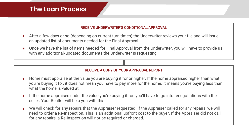#### RECEIVE UNDERWRITER'S CONDITIONAL APPROVAL

- After a few days or so (depending on current turn times) the Underwriter reviews your file and will issue an updated list of documents needed for the Final Approval.
- Once we have the list of items needed for Final Approval from the Underwriter, you will have to provide us with any additional/updated documents the Underwriter is requesting.

#### RECEIVE A COPY OF YOUR APPRAISAL REPORT

- Home must appraise at the value you are buying it for or higher. If the home appraised higher than what you're buying it for, it does not mean you have to pay more for the home. It means you're paying less than what the home is valued at.
- If the home appraises under the value you're buying it for, you'll have to go into renegotiations with the  $\bullet$ seller. Your Realtor will help you with this.
- We will check for any repairs that the Appraiser requested. If the Appraiser called for any repairs, we will need to order a Re-Inspection. This is an additional upfront cost to the buyer. If the Appraiser did not call for any repairs, a Re-Inspection will not be required or charged.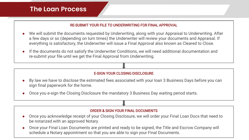#### RE-SUBMIT YOUR FILE TO UNDERWRITING FOR FINAL APPROVAL

- We will submit the documents requested by Underwriting, along with your Appraisal to Underwriting. After a few days or so (depending on turn times) the Underwriter will review your documents and Appraisal. If everything is satisfactory, the Underwriter will issue a Final Approval also known as Cleared to Close.
- If the documents do not satisfy the Underwriter Conditions, we will need additional documentation and  $\bullet$ re-submit your file until we get the Final Approval from Underwriting.

#### E-SIGN YOUR CLOSING DISCLOSURE

- By law we have to disclose the estimated fees associated with your loan 3 Business Days before you can sign final paperwork for the home.
- Once you e-sign the Closing Disclosure the mandatory 3 Business Day waiting period starts.

#### ORDER & SIGN YOUR FINAL DOCUMENTS

- Once you acknowledge receipt of your Closing Disclosure, we will order your Final Loan Docs that need to be notarized with an approved Notary.
- Once your Final Loan Documents are printed and ready to be signed, the Title and Escrow Company will schedule a Notary appointment so that you are able to sign your Final Documents.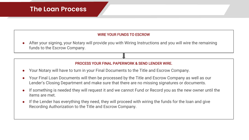#### WIRE YOUR FUNDS TO ESCROW

After your signing, your Notary will provide you with Wiring Instructions and you will wire the remaining funds to the Escrow Company.

#### PROCESS YOUR FINAL PAPERWORK & SEND LENDER WIRE.

- Your Notary will have to turn in your Final Documents to the Title and Escrow Company.
- Your Final Loan Documents will then be processed by the Title and Escrow Company as well as our Lender's Closing Department and make sure that there are no missing signatures or documents.
- If something is needed they will request it and we cannot Fund or Record you as the new owner until the items are met.
- If the Lender has everything they need, they will proceed with wiring the funds for the loan and give  $\bullet$ Recording Authorization to the Title and Escrow Company.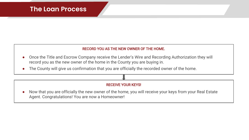#### RECORD YOU AS THE NEW OWNER OF THE HOME.

- Once the Title and Escrow Company receive the Lender's Wire and Recording Authorization they will  $\bullet$ record you as the new owner of the home in the County you are buying in.
- The County will give us confirmation that you are officially the recorded owner of the home. $\bullet$

#### RECEIVE YOUR KEYS!

Now that you are officially the new owner of the home, you will receive your keys from your Real Estate Agent. Congratulations! You are now a Homeowner!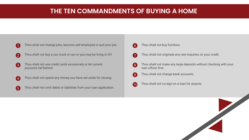### **THE TEN COMMANDMENTS OF BUYING A HOME**

**1** Thou shalt not change jobs, become self-employed or quit your job.

- 2 Thou shalt not buy a car, truck or van or you may be living in it!!!
- 3 Thou shalt not use credit cards excessively or let current accounts fall behind.
- **4** Thou shalt not spend any money you have set aside for closing.
- 5 Thou shalt not omit debts or liabilities from your loan application.
- 6 Thou shalt not buy furniture.
- **7** Thou shalt not originate any new inquiries on your credit.
- 8 Thou shalt not make any large deposits without checking with your loan officer first.
- **9** Thou shalt not change bank accounts.
- 10 Thou shalt not co-sign on a loan for anyone.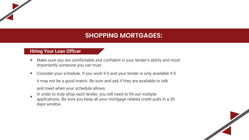### **SHOPPING MORTGAGES:**

### **Hiring Your Loan Officer**

- Make sure you are comfortable and confident in your lender's ability and most importantly someone you can trust.
- Consider your schedule. If you work 9-5 and your lender is only available 9-5 it may not be a good match. Be sure and ask if they are available to talk

and meet when your schedule allows.

- In order to truly shop each lender, you will need to fill-out multiple
- applications. Be sure you keep all your mortgage related credit pulls in a 30 days window.

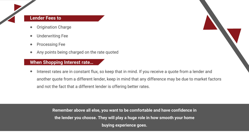### **Lender Fees to**

- **Origination Charge**
- Underwriting Fee
- Processing Fee
- Any points being charged on the rate quoted

### **When Shopping Interest rate…**

Interest rates are in constant flux, so keep that in mind. If you receive a quote from a lender and another quote from a different lender, keep in mind that any difference may be due to market factors and not the fact that a different lender is offering better rates.

> **Remember above all else, you want to be comfortable and have confidence in the lender you choose. They will play a huge role in how smooth your home buying experience goes.**